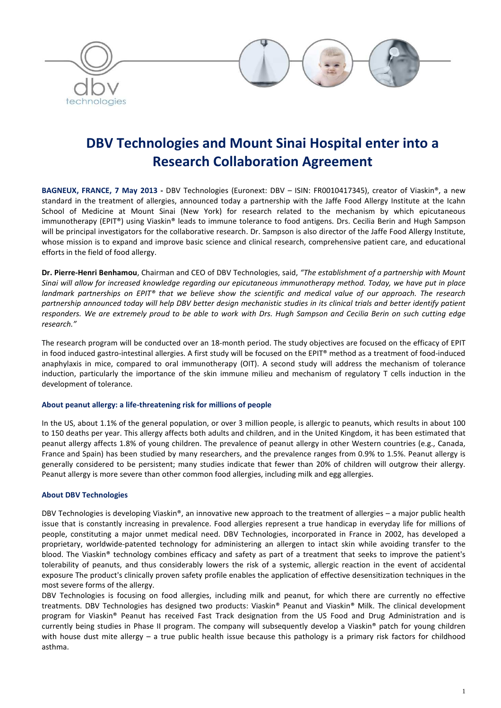

# **DBV Technologies and Mount Sinai Hospital enter into a Research Collaboration Agreement**

**BAGNEUX, FRANCE, 7 May 2013 -** DBV Technologies (Euronext: DBV – ISIN: FR0010417345), creator of Viaskin®, a new standard in the treatment of allergies, announced today a partnership with the Jaffe Food Allergy Institute at the Icahn School of Medicine at Mount Sinai (New York) for research related to the mechanism by which epicutaneous immunotherapy (EPIT®) using Viaskin® leads to immune tolerance to food antigens. Drs. Cecilia Berin and Hugh Sampson will be principal investigators for the collaborative research. Dr. Sampson is also director of the Jaffe Food Allergy Institute, whose mission is to expand and improve basic science and clinical research, comprehensive patient care, and educational efforts in the field of food allergy.

**Dr. Pierre-Henri Benhamou**, Chairman and CEO of DBV Technologies, said, *"The establishment of a partnership with Mount Sinai will allow for increased knowledge regarding our epicutaneous immunotherapy method. Today, we have put in place landmark partnerships on EPIT® that we believe show the scientific and medical value of our approach. The research partnership announced today will help DBV better design mechanistic studies in its clinical trials and better identify patient responders. We are extremely proud to be able to work with Drs. Hugh Sampson and Cecilia Berin on such cutting edge research."*

The research program will be conducted over an 18-month period. The study objectives are focused on the efficacy of EPIT in food induced gastro-intestinal allergies. A first study will be focused on the EPIT® method as a treatment of food-induced anaphylaxis in mice, compared to oral immunotherapy (OIT). A second study will address the mechanism of tolerance induction, particularly the importance of the skin immune milieu and mechanism of regulatory T cells induction in the development of tolerance.

### **About peanut allergy: a life-threatening risk for millions of people**

In the US, about 1.1% of the general population, or over 3 million people, is allergic to peanuts, which results in about 100 to 150 deaths per year. This allergy affects both adults and children, and in the United Kingdom, it has been estimated that peanut allergy affects 1.8% of young children. The prevalence of peanut allergy in other Western countries (e.g., Canada, France and Spain) has been studied by many researchers, and the prevalence ranges from 0.9% to 1.5%. Peanut allergy is generally considered to be persistent; many studies indicate that fewer than 20% of children will outgrow their allergy. Peanut allergy is more severe than other common food allergies, including milk and egg allergies.

### **About DBV Technologies**

DBV Technologies is developing Viaskin®, an innovative new approach to the treatment of allergies – a major public health issue that is constantly increasing in prevalence. Food allergies represent a true handicap in everyday life for millions of people, constituting a major unmet medical need. DBV Technologies, incorporated in France in 2002, has developed a proprietary, worldwide-patented technology for administering an allergen to intact skin while avoiding transfer to the blood. The Viaskin® technology combines efficacy and safety as part of a treatment that seeks to improve the patient's tolerability of peanuts, and thus considerably lowers the risk of a systemic, allergic reaction in the event of accidental exposure The product's clinically proven safety profile enables the application of effective desensitization techniques in the most severe forms of the allergy.

DBV Technologies is focusing on food allergies, including milk and peanut, for which there are currently no effective treatments. DBV Technologies has designed two products: Viaskin® Peanut and Viaskin® Milk. The clinical development program for Viaskin® Peanut has received Fast Track designation from the US Food and Drug Administration and is currently being studies in Phase II program. The company will subsequently develop a Viaskin® patch for young children with house dust mite allergy – a true public health issue because this pathology is a primary risk factors for childhood asthma.